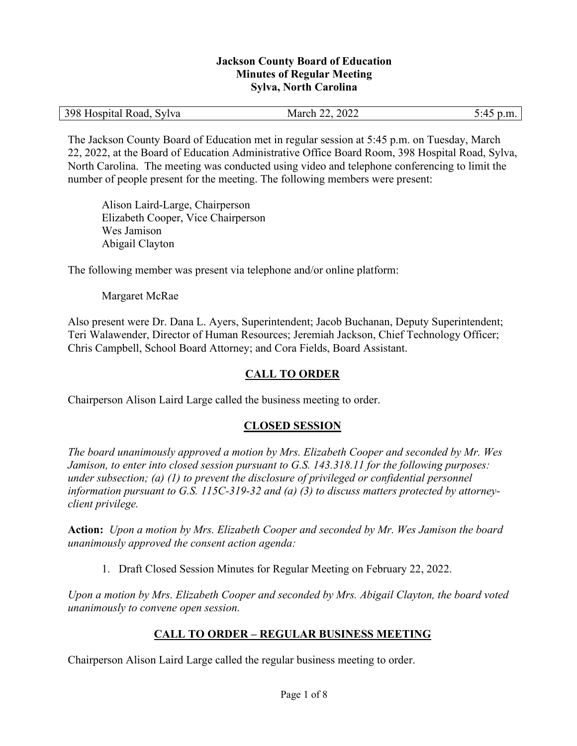#### **Jackson County Board of Education Minutes of Regular Meeting Sylva, North Carolina**

| 398 F<br>Hospital Road, Sylva | 2022<br>March $22$ . | . . |
|-------------------------------|----------------------|-----|
|-------------------------------|----------------------|-----|

The Jackson County Board of Education met in regular session at 5:45 p.m. on Tuesday, March 22, 2022, at the Board of Education Administrative Office Board Room, 398 Hospital Road, Sylva, North Carolina. The meeting was conducted using video and telephone conferencing to limit the number of people present for the meeting. The following members were present:

Alison Laird-Large, Chairperson Elizabeth Cooper, Vice Chairperson Wes Jamison Abigail Clayton

The following member was present via telephone and/or online platform:

#### Margaret McRae

Also present were Dr. Dana L. Ayers, Superintendent; Jacob Buchanan, Deputy Superintendent; Teri Walawender, Director of Human Resources; Jeremiah Jackson, Chief Technology Officer; Chris Campbell, School Board Attorney; and Cora Fields, Board Assistant.

### **CALL TO ORDER**

Chairperson Alison Laird Large called the business meeting to order.

### **CLOSED SESSION**

*The board unanimously approved a motion by Mrs. Elizabeth Cooper and seconded by Mr. Wes Jamison, to enter into closed session pursuant to G.S. 143.318.11 for the following purposes: under subsection; (a) (1) to prevent the disclosure of privileged or confidential personnel information pursuant to G.S. 115C-319-32 and (a) (3) to discuss matters protected by attorneyclient privilege.* 

**Action:** *Upon a motion by Mrs. Elizabeth Cooper and seconded by Mr. Wes Jamison the board unanimously approved the consent action agenda:* 

1. Draft Closed Session Minutes for Regular Meeting on February 22, 2022.

*Upon a motion by Mrs. Elizabeth Cooper and seconded by Mrs. Abigail Clayton, the board voted unanimously to convene open session.* 

### **CALL TO ORDER – REGULAR BUSINESS MEETING**

Chairperson Alison Laird Large called the regular business meeting to order.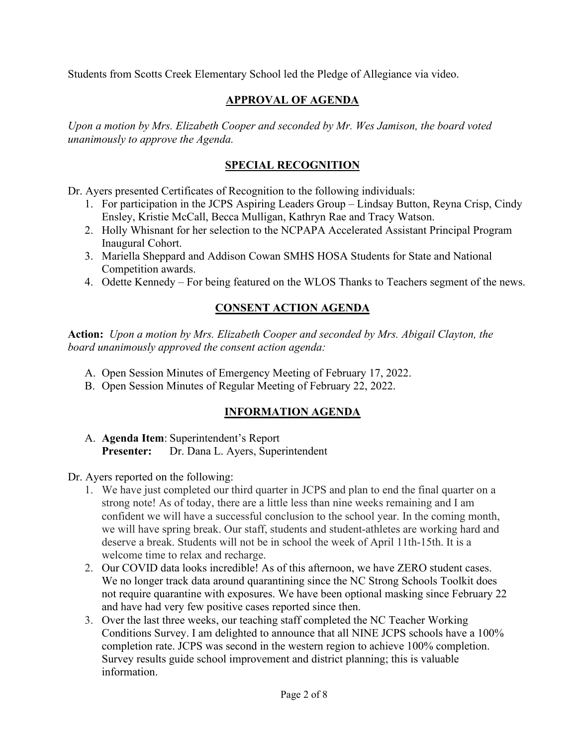Students from Scotts Creek Elementary School led the Pledge of Allegiance via video.

## **APPROVAL OF AGENDA**

*Upon a motion by Mrs. Elizabeth Cooper and seconded by Mr. Wes Jamison, the board voted unanimously to approve the Agenda.* 

## **SPECIAL RECOGNITION**

Dr. Ayers presented Certificates of Recognition to the following individuals:

- 1. For participation in the JCPS Aspiring Leaders Group Lindsay Button, Reyna Crisp, Cindy Ensley, Kristie McCall, Becca Mulligan, Kathryn Rae and Tracy Watson.
- 2. Holly Whisnant for her selection to the NCPAPA Accelerated Assistant Principal Program Inaugural Cohort.
- 3. Mariella Sheppard and Addison Cowan SMHS HOSA Students for State and National Competition awards.
- 4. Odette Kennedy For being featured on the WLOS Thanks to Teachers segment of the news.

## **CONSENT ACTION AGENDA**

**Action:** *Upon a motion by Mrs. Elizabeth Cooper and seconded by Mrs. Abigail Clayton, the board unanimously approved the consent action agenda:* 

- A. Open Session Minutes of Emergency Meeting of February 17, 2022.
- B. Open Session Minutes of Regular Meeting of February 22, 2022.

# **INFORMATION AGENDA**

A. **Agenda Item**: Superintendent's Report **Presenter:** Dr. Dana L. Ayers, Superintendent

Dr. Ayers reported on the following:

- 1. We have just completed our third quarter in JCPS and plan to end the final quarter on a strong note! As of today, there are a little less than nine weeks remaining and I am confident we will have a successful conclusion to the school year. In the coming month, we will have spring break. Our staff, students and student-athletes are working hard and deserve a break. Students will not be in school the week of April 11th-15th. It is a welcome time to relax and recharge.
- 2. Our COVID data looks incredible! As of this afternoon, we have ZERO student cases. We no longer track data around quarantining since the NC Strong Schools Toolkit does not require quarantine with exposures. We have been optional masking since February 22 and have had very few positive cases reported since then.
- 3. Over the last three weeks, our teaching staff completed the NC Teacher Working Conditions Survey. I am delighted to announce that all NINE JCPS schools have a 100% completion rate. JCPS was second in the western region to achieve 100% completion. Survey results guide school improvement and district planning; this is valuable information.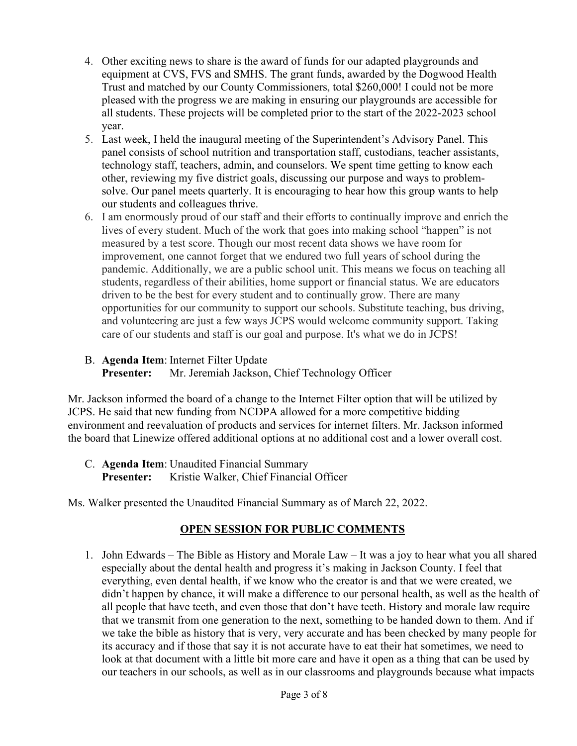- 4. Other exciting news to share is the award of funds for our adapted playgrounds and equipment at CVS, FVS and SMHS. The grant funds, awarded by the Dogwood Health Trust and matched by our County Commissioners, total \$260,000! I could not be more pleased with the progress we are making in ensuring our playgrounds are accessible for all students. These projects will be completed prior to the start of the 2022-2023 school year.
- 5. Last week, I held the inaugural meeting of the Superintendent's Advisory Panel. This panel consists of school nutrition and transportation staff, custodians, teacher assistants, technology staff, teachers, admin, and counselors. We spent time getting to know each other, reviewing my five district goals, discussing our purpose and ways to problemsolve. Our panel meets quarterly. It is encouraging to hear how this group wants to help our students and colleagues thrive.
- 6. I am enormously proud of our staff and their efforts to continually improve and enrich the lives of every student. Much of the work that goes into making school "happen" is not measured by a test score. Though our most recent data shows we have room for improvement, one cannot forget that we endured two full years of school during the pandemic. Additionally, we are a public school unit. This means we focus on teaching all students, regardless of their abilities, home support or financial status. We are educators driven to be the best for every student and to continually grow. There are many opportunities for our community to support our schools. Substitute teaching, bus driving, and volunteering are just a few ways JCPS would welcome community support. Taking care of our students and staff is our goal and purpose. It's what we do in JCPS!
- B. **Agenda Item**: Internet Filter Update

**Presenter:** Mr. Jeremiah Jackson, Chief Technology Officer

Mr. Jackson informed the board of a change to the Internet Filter option that will be utilized by JCPS. He said that new funding from NCDPA allowed for a more competitive bidding environment and reevaluation of products and services for internet filters. Mr. Jackson informed the board that Linewize offered additional options at no additional cost and a lower overall cost.

C. **Agenda Item**: Unaudited Financial Summary **Presenter:** Kristie Walker, Chief Financial Officer

Ms. Walker presented the Unaudited Financial Summary as of March 22, 2022.

# **OPEN SESSION FOR PUBLIC COMMENTS**

1. John Edwards – The Bible as History and Morale Law – It was a joy to hear what you all shared especially about the dental health and progress it's making in Jackson County. I feel that everything, even dental health, if we know who the creator is and that we were created, we didn't happen by chance, it will make a difference to our personal health, as well as the health of all people that have teeth, and even those that don't have teeth. History and morale law require that we transmit from one generation to the next, something to be handed down to them. And if we take the bible as history that is very, very accurate and has been checked by many people for its accuracy and if those that say it is not accurate have to eat their hat sometimes, we need to look at that document with a little bit more care and have it open as a thing that can be used by our teachers in our schools, as well as in our classrooms and playgrounds because what impacts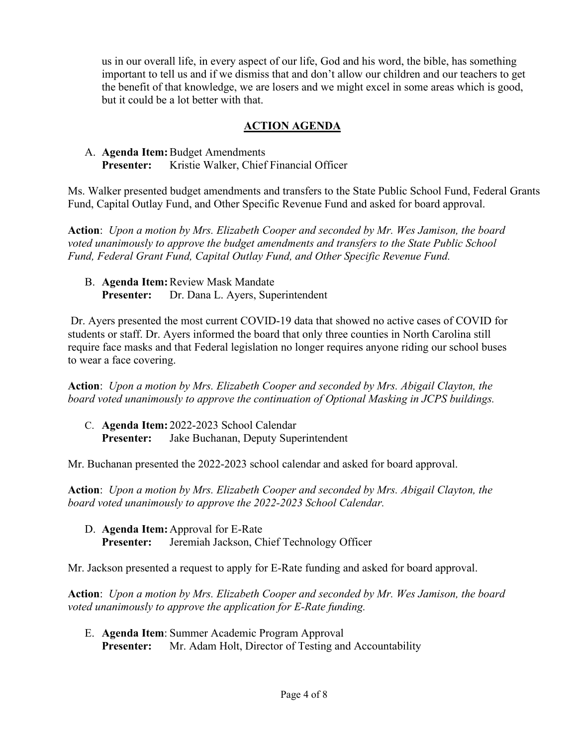us in our overall life, in every aspect of our life, God and his word, the bible, has something important to tell us and if we dismiss that and don't allow our children and our teachers to get the benefit of that knowledge, we are losers and we might excel in some areas which is good, but it could be a lot better with that.

## **ACTION AGENDA**

## A. **Agenda Item:** Budget Amendments **Presenter:** Kristie Walker, Chief Financial Officer

Ms. Walker presented budget amendments and transfers to the State Public School Fund, Federal Grants Fund, Capital Outlay Fund, and Other Specific Revenue Fund and asked for board approval.

**Action**: *Upon a motion by Mrs. Elizabeth Cooper and seconded by Mr. Wes Jamison, the board voted unanimously to approve the budget amendments and transfers to the State Public School Fund, Federal Grant Fund, Capital Outlay Fund, and Other Specific Revenue Fund.* 

B. **Agenda Item:**Review Mask Mandate **Presenter:** Dr. Dana L. Ayers, Superintendent

Dr. Ayers presented the most current COVID-19 data that showed no active cases of COVID for students or staff. Dr. Ayers informed the board that only three counties in North Carolina still require face masks and that Federal legislation no longer requires anyone riding our school buses to wear a face covering.

**Action**: *Upon a motion by Mrs. Elizabeth Cooper and seconded by Mrs. Abigail Clayton, the board voted unanimously to approve the continuation of Optional Masking in JCPS buildings.* 

C. **Agenda Item:** 2022-2023 School Calendar **Presenter:** Jake Buchanan, Deputy Superintendent

Mr. Buchanan presented the 2022-2023 school calendar and asked for board approval.

**Action**: *Upon a motion by Mrs. Elizabeth Cooper and seconded by Mrs. Abigail Clayton, the board voted unanimously to approve the 2022-2023 School Calendar.* 

D. **Agenda Item:** Approval for E-Rate **Presenter:** Jeremiah Jackson, Chief Technology Officer

Mr. Jackson presented a request to apply for E-Rate funding and asked for board approval.

**Action**: *Upon a motion by Mrs. Elizabeth Cooper and seconded by Mr. Wes Jamison, the board voted unanimously to approve the application for E-Rate funding.* 

E. **Agenda Item**: Summer Academic Program Approval **Presenter:** Mr. Adam Holt, Director of Testing and Accountability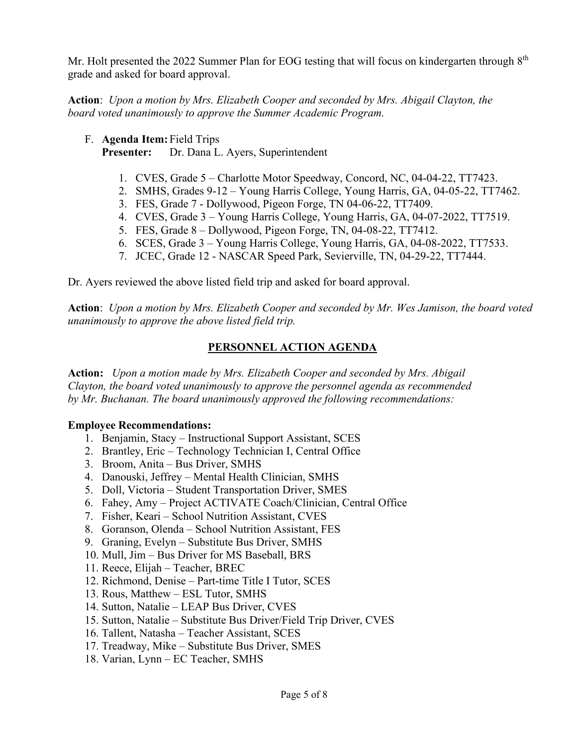Mr. Holt presented the 2022 Summer Plan for EOG testing that will focus on kindergarten through 8<sup>th</sup> grade and asked for board approval.

**Action**: *Upon a motion by Mrs. Elizabeth Cooper and seconded by Mrs. Abigail Clayton, the board voted unanimously to approve the Summer Academic Program.* 

F. **Agenda Item:**Field Trips

Presenter: Dr. Dana L. Ayers, Superintendent

- 1. CVES, Grade 5 Charlotte Motor Speedway, Concord, NC, 04-04-22, TT7423.
- 2. SMHS, Grades 9-12 Young Harris College, Young Harris, GA, 04-05-22, TT7462.
- 3. FES, Grade 7 Dollywood, Pigeon Forge, TN 04-06-22, TT7409.
- 4. CVES, Grade 3 Young Harris College, Young Harris, GA, 04-07-2022, TT7519.
- 5. FES, Grade 8 Dollywood, Pigeon Forge, TN, 04-08-22, TT7412.
- 6. SCES, Grade 3 Young Harris College, Young Harris, GA, 04-08-2022, TT7533.
- 7. JCEC, Grade 12 NASCAR Speed Park, Sevierville, TN, 04-29-22, TT7444.

Dr. Ayers reviewed the above listed field trip and asked for board approval.

**Action**: *Upon a motion by Mrs. Elizabeth Cooper and seconded by Mr. Wes Jamison, the board voted unanimously to approve the above listed field trip.* 

## **PERSONNEL ACTION AGENDA**

**Action:** *Upon a motion made by Mrs. Elizabeth Cooper and seconded by Mrs. Abigail Clayton, the board voted unanimously to approve the personnel agenda as recommended by Mr. Buchanan. The board unanimously approved the following recommendations:* 

### **Employee Recommendations:**

- 1. Benjamin, Stacy Instructional Support Assistant, SCES
- 2. Brantley, Eric Technology Technician I, Central Office
- 3. Broom, Anita Bus Driver, SMHS
- 4. Danouski, Jeffrey Mental Health Clinician, SMHS
- 5. Doll, Victoria Student Transportation Driver, SMES
- 6. Fahey, Amy Project ACTIVATE Coach/Clinician, Central Office
- 7. Fisher, Keari School Nutrition Assistant, CVES
- 8. Goranson, Olenda School Nutrition Assistant, FES
- 9. Graning, Evelyn Substitute Bus Driver, SMHS
- 10. Mull, Jim Bus Driver for MS Baseball, BRS
- 11. Reece, Elijah Teacher, BREC
- 12. Richmond, Denise Part-time Title I Tutor, SCES
- 13. Rous, Matthew ESL Tutor, SMHS
- 14. Sutton, Natalie LEAP Bus Driver, CVES
- 15. Sutton, Natalie Substitute Bus Driver/Field Trip Driver, CVES
- 16. Tallent, Natasha Teacher Assistant, SCES
- 17. Treadway, Mike Substitute Bus Driver, SMES
- 18. Varian, Lynn EC Teacher, SMHS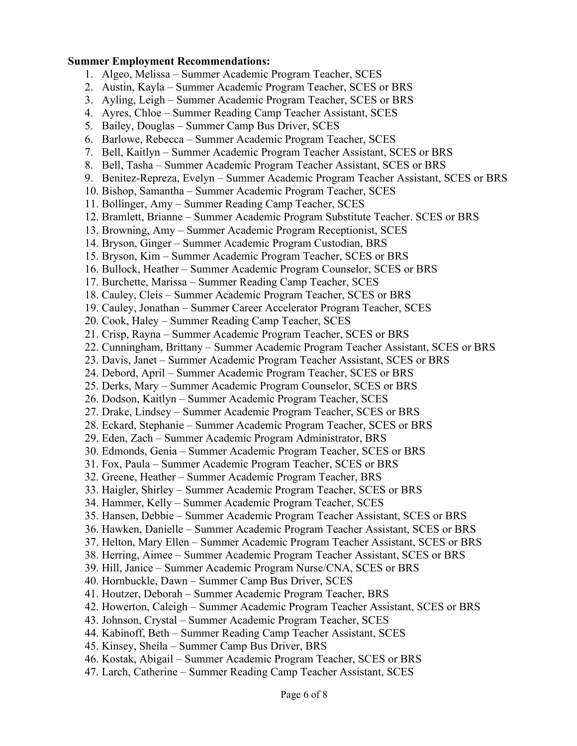#### **Summer Employment Recommendations:**

- 1. Algeo, Melissa Summer Academic Program Teacher, SCES
- 2. Austin, Kayla Summer Academic Program Teacher, SCES or BRS
- 3. Ayling, Leigh Summer Academic Program Teacher, SCES or BRS
- 4. Ayres, Chloe Summer Reading Camp Teacher Assistant, SCES
- 5. Bailey, Douglas Summer Camp Bus Driver, SCES
- 6. Barlowe, Rebecca Summer Academic Program Teacher, SCES
- 7. Bell, Kaitlyn Summer Academic Program Teacher Assistant, SCES or BRS
- 8. Bell, Tasha Summer Academic Program Teacher Assistant, SCES or BRS
- 9. Benitez-Repreza, Evelyn Summer Academic Program Teacher Assistant, SCES or BRS
- 10. Bishop, Samantha Summer Academic Program Teacher, SCES
- 11. Bollinger, Amy Summer Reading Camp Teacher, SCES
- 12. Bramlett, Brianne Summer Academic Program Substitute Teacher. SCES or BRS
- 13. Browning, Amy Summer Academic Program Receptionist, SCES
- 14. Bryson, Ginger Summer Academic Program Custodian, BRS
- 15. Bryson, Kim Summer Academic Program Teacher, SCES or BRS
- 16. Bullock, Heather Summer Academic Program Counselor, SCES or BRS
- 17. Burchette, Marissa Summer Reading Camp Teacher, SCES
- 18. Cauley, Cleis Summer Academic Program Teacher, SCES or BRS
- 19. Cauley, Jonathan Summer Career Accelerator Program Teacher, SCES
- 20. Cook, Haley Summer Reading Camp Teacher, SCES
- 21. Crisp, Rayna Summer Academic Program Teacher, SCES or BRS
- 22. Cunningham, Brittany Summer Academic Program Teacher Assistant, SCES or BRS
- 23. Davis, Janet Summer Academic Program Teacher Assistant, SCES or BRS
- 24. Debord, April Summer Academic Program Teacher, SCES or BRS
- 25. Derks, Mary Summer Academic Program Counselor, SCES or BRS
- 26. Dodson, Kaitlyn Summer Academic Program Teacher, SCES
- 27. Drake, Lindsey Summer Academic Program Teacher, SCES or BRS
- 28. Eckard, Stephanie Summer Academic Program Teacher, SCES or BRS
- 29. Eden, Zach Summer Academic Program Administrator, BRS
- 30. Edmonds, Genia Summer Academic Program Teacher, SCES or BRS
- 31. Fox, Paula Summer Academic Program Teacher, SCES or BRS
- 32. Greene, Heather Summer Academic Program Teacher, BRS
- 33. Haigler, Shirley Summer Academic Program Teacher, SCES or BRS
- 34. Hammer, Kelly Summer Academic Program Teacher, SCES
- 35. Hansen, Debbie Summer Academic Program Teacher Assistant, SCES or BRS
- 36. Hawken, Danielle Summer Academic Program Teacher Assistant, SCES or BRS
- 37. Helton, Mary Ellen Summer Academic Program Teacher Assistant, SCES or BRS
- 38. Herring, Aimee Summer Academic Program Teacher Assistant, SCES or BRS
- 39. Hill, Janice Summer Academic Program Nurse/CNA, SCES or BRS
- 40. Hornbuckle, Dawn Summer Camp Bus Driver, SCES
- 41. Houtzer, Deborah Summer Academic Program Teacher, BRS
- 42. Howerton, Caleigh Summer Academic Program Teacher Assistant, SCES or BRS
- 43. Johnson, Crystal Summer Academic Program Teacher, SCES
- 44. Kabinoff, Beth Summer Reading Camp Teacher Assistant, SCES
- 45. Kinsey, Sheila Summer Camp Bus Driver, BRS
- 46. Kostak, Abigail Summer Academic Program Teacher, SCES or BRS
- 47. Larch, Catherine Summer Reading Camp Teacher Assistant, SCES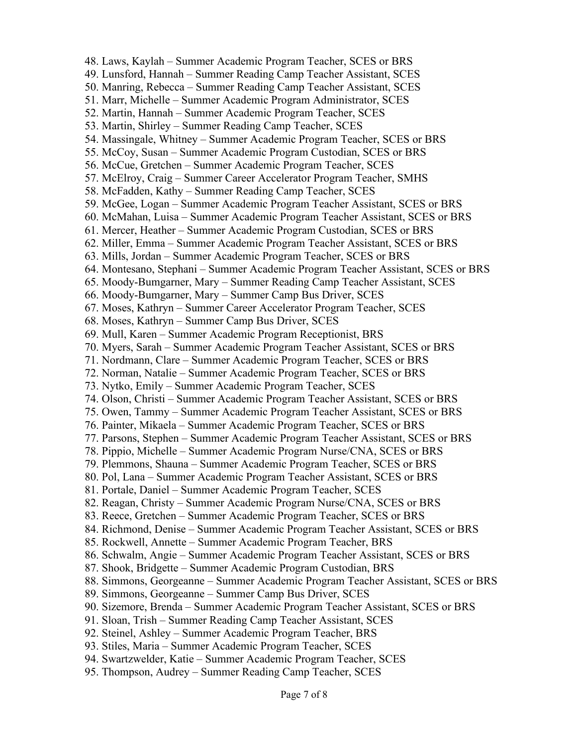48. Laws, Kaylah – Summer Academic Program Teacher, SCES or BRS 49. Lunsford, Hannah – Summer Reading Camp Teacher Assistant, SCES 50. Manring, Rebecca – Summer Reading Camp Teacher Assistant, SCES 51. Marr, Michelle – Summer Academic Program Administrator, SCES 52. Martin, Hannah – Summer Academic Program Teacher, SCES 53. Martin, Shirley – Summer Reading Camp Teacher, SCES 54. Massingale, Whitney – Summer Academic Program Teacher, SCES or BRS 55. McCoy, Susan – Summer Academic Program Custodian, SCES or BRS 56. McCue, Gretchen – Summer Academic Program Teacher, SCES 57. McElroy, Craig – Summer Career Accelerator Program Teacher, SMHS 58. McFadden, Kathy – Summer Reading Camp Teacher, SCES 59. McGee, Logan – Summer Academic Program Teacher Assistant, SCES or BRS 60. McMahan, Luisa – Summer Academic Program Teacher Assistant, SCES or BRS 61. Mercer, Heather – Summer Academic Program Custodian, SCES or BRS 62. Miller, Emma – Summer Academic Program Teacher Assistant, SCES or BRS 63. Mills, Jordan – Summer Academic Program Teacher, SCES or BRS 64. Montesano, Stephani – Summer Academic Program Teacher Assistant, SCES or BRS 65. Moody-Bumgarner, Mary – Summer Reading Camp Teacher Assistant, SCES 66. Moody-Bumgarner, Mary – Summer Camp Bus Driver, SCES 67. Moses, Kathryn – Summer Career Accelerator Program Teacher, SCES 68. Moses, Kathryn – Summer Camp Bus Driver, SCES 69. Mull, Karen – Summer Academic Program Receptionist, BRS 70. Myers, Sarah – Summer Academic Program Teacher Assistant, SCES or BRS 71. Nordmann, Clare – Summer Academic Program Teacher, SCES or BRS 72. Norman, Natalie – Summer Academic Program Teacher, SCES or BRS 73. Nytko, Emily – Summer Academic Program Teacher, SCES 74. Olson, Christi – Summer Academic Program Teacher Assistant, SCES or BRS 75. Owen, Tammy – Summer Academic Program Teacher Assistant, SCES or BRS 76. Painter, Mikaela – Summer Academic Program Teacher, SCES or BRS 77. Parsons, Stephen – Summer Academic Program Teacher Assistant, SCES or BRS 78. Pippio, Michelle – Summer Academic Program Nurse/CNA, SCES or BRS 79. Plemmons, Shauna – Summer Academic Program Teacher, SCES or BRS 80. Pol, Lana – Summer Academic Program Teacher Assistant, SCES or BRS 81. Portale, Daniel – Summer Academic Program Teacher, SCES 82. Reagan, Christy – Summer Academic Program Nurse/CNA, SCES or BRS 83. Reece, Gretchen – Summer Academic Program Teacher, SCES or BRS 84. Richmond, Denise – Summer Academic Program Teacher Assistant, SCES or BRS 85. Rockwell, Annette – Summer Academic Program Teacher, BRS 86. Schwalm, Angie – Summer Academic Program Teacher Assistant, SCES or BRS 87. Shook, Bridgette – Summer Academic Program Custodian, BRS 88. Simmons, Georgeanne – Summer Academic Program Teacher Assistant, SCES or BRS 89. Simmons, Georgeanne – Summer Camp Bus Driver, SCES 90. Sizemore, Brenda – Summer Academic Program Teacher Assistant, SCES or BRS 91. Sloan, Trish – Summer Reading Camp Teacher Assistant, SCES 92. Steinel, Ashley – Summer Academic Program Teacher, BRS 93. Stiles, Maria – Summer Academic Program Teacher, SCES 94. Swartzwelder, Katie – Summer Academic Program Teacher, SCES 95. Thompson, Audrey – Summer Reading Camp Teacher, SCES